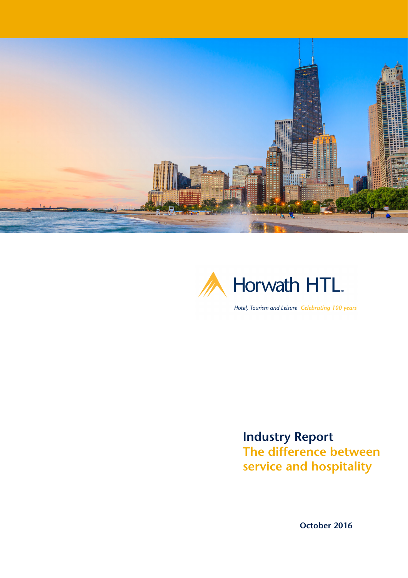



Hotel, Tourism and Leisure Celebrating 100 years

**Industry Report The difference between service and hospitality** 

**October 2016**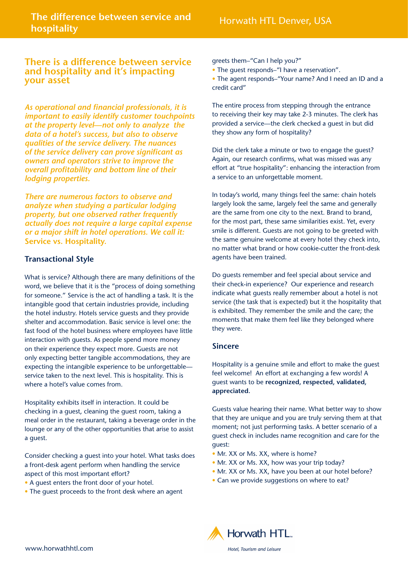# **There is a difference between service and hospitality and it's impacting your asset**

*As operational and financial professionals, it is important to easily identify customer touchpoints at the property level—not only to analyze the data of a hotel's success, but also to observe qualities of the service delivery. The nuances of the service delivery can prove significant as owners and operators strive to improve the overall profitability and bottom line of their lodging properties.* 

*There are numerous factors to observe and analyze when studying a particular lodging property, but one observed rather frequently actually does not require a large capital expense or a major shift in hotel operations. We call it:*  **Service vs. Hospitality.**

# **Transactional Style**

What is service? Although there are many definitions of the word, we believe that it is the "process of doing something for someone." Service is the act of handling a task. It is the intangible good that certain industries provide, including the hotel industry. Hotels service guests and they provide shelter and accommodation. Basic service is level one: the fast food of the hotel business where employees have little interaction with guests. As people spend more money on their experience they expect more. Guests are not only expecting better tangible accommodations, they are expecting the intangible experience to be unforgettable service taken to the next level. This is hospitality. This is where a hotel's value comes from.

Hospitality exhibits itself in interaction. It could be checking in a guest, cleaning the guest room, taking a meal order in the restaurant, taking a beverage order in the lounge or any of the other opportunities that arise to assist a guest.

Consider checking a guest into your hotel. What tasks does a front-desk agent perform when handling the service aspect of this most important effort?

- A guest enters the front door of your hotel.
- The guest proceeds to the front desk where an agent

#### greets them–"Can I help you?"

• The guest responds–"I have a reservation".

• The agent responds–"Your name? And I need an ID and a credit card"

The entire process from stepping through the entrance to receiving their key may take 2-3 minutes. The clerk has provided a service—the clerk checked a guest in but did they show any form of hospitality?

Did the clerk take a minute or two to engage the guest? Again, our research confirms, what was missed was any effort at "true hospitality": enhancing the interaction from a service to an unforgettable moment.

In today's world, many things feel the same: chain hotels largely look the same, largely feel the same and generally are the same from one city to the next. Brand to brand, for the most part, these same similarities exist. Yet, every smile is different. Guests are not going to be greeted with the same genuine welcome at every hotel they check into, no matter what brand or how cookie-cutter the front-desk agents have been trained.

Do guests remember and feel special about service and their check-in experience? Our experience and research indicate what guests really remember about a hotel is not service (the task that is expected) but it the hospitality that is exhibited. They remember the smile and the care; the moments that make them feel like they belonged where they were.

## **Sincere**

Hospitality is a genuine smile and effort to make the guest feel welcome! An effort at exchanging a few words! A guest wants to be **recognized, respected, validated, appreciated.**

Guests value hearing their name. What better way to show that they are unique and you are truly serving them at that moment; not just performing tasks. A better scenario of a guest check in includes name recognition and care for the guest:

- Mr. XX or Ms. XX, where is home?
- Mr. XX or Ms. XX, how was your trip today?
- Mr. XX or Ms. XX, have you been at our hotel before?
- Can we provide suggestions on where to eat?

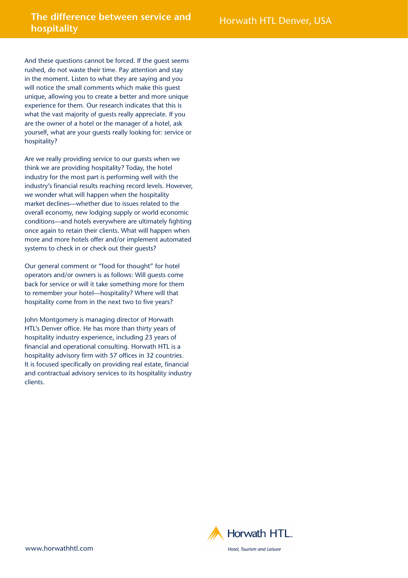# **The difference between service and hospitality hospitality hospitality hospitality**

And these questions cannot be forced. If the guest seems rushed, do not waste their time. Pay attention and stay in the moment. Listen to what they are saying and you will notice the small comments which make this guest unique, allowing you to create a better and more unique experience for them. Our research indicates that this is what the vast majority of guests really appreciate. If you are the owner of a hotel or the manager of a hotel, ask yourself, what are your guests really looking for: service or hospitality?

Are we really providing service to our guests when we think we are providing hospitality? Today, the hotel industry for the most part is performing well with the industry's financial results reaching record levels. However, we wonder what will happen when the hospitality market declines—whether due to issues related to the overall economy, new lodging supply or world economic conditions—and hotels everywhere are ultimately fighting once again to retain their clients. What will happen when more and more hotels offer and/or implement automated systems to check in or check out their guests?

Our general comment or "food for thought" for hotel operators and/or owners is as follows: Will guests come back for service or will it take something more for them to remember your hotel—hospitality? Where will that hospitality come from in the next two to five years?

John Montgomery is managing director of Horwath HTL's Denver office. He has more than thirty years of hospitality industry experience, including 23 years of financial and operational consulting. Horwath HTL is a hospitality advisory firm with 57 offices in 32 countries. It is focused specifically on providing real estate, financial and contractual advisory services to its hospitality industry clients.

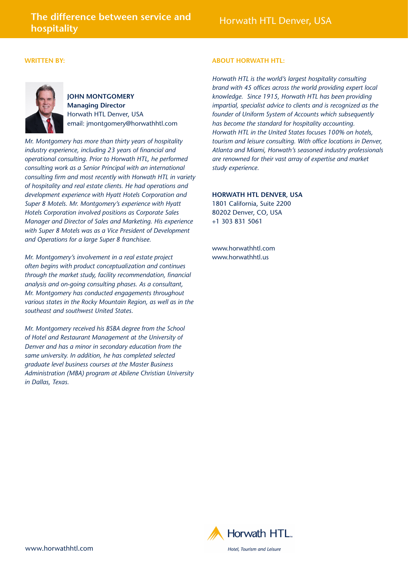### **WRITTEN BY:**



**JOHN MONTGOMERY Managing Director** Horwath HTL Denver, USA email: jmontgomery[@horwathhtl.com](mailto:jmontgomery%40horwathhtl.com?subject=)

*Mr. Montgomery has more than thirty years of hospitality industry experience, including 23 years of financial and operational consulting. Prior to Horwath HTL, he performed consulting work as a Senior Principal with an international consulting firm and most recently with Horwath HTL in variety of hospitality and real estate clients. He had operations and development experience with Hyatt Hotels Corporation and Super 8 Motels. Mr. Montgomery's experience with Hyatt Hotels Corporation involved positions as Corporate Sales Manager and Director of Sales and Marketing. His experience with Super 8 Motels was as a Vice President of Development and Operations for a large Super 8 franchisee.*

*Mr. Montgomery's involvement in a real estate project often begins with product conceptualization and continues through the market study, facility recommendation, financial analysis and on-going consulting phases. As a consultant, Mr. Montgomery has conducted engagements throughout various states in the Rocky Mountain Region, as well as in the southeast and southwest United States.*

*Mr. Montgomery received his BSBA degree from the School of Hotel and Restaurant Management at the University of Denver and has a minor in secondary education from the same university. In addition, he has completed selected graduate level business courses at the Master Business Administration (MBA) program at Abilene Christian University in Dallas, Texas.*

### **ABOUT HORWATH HTL:**

*Horwath HTL is the world's largest hospitality consulting brand with 45 offices across the world providing expert local knowledge. Since 1915, Horwath HTL has been providing impartial, specialist advice to clients and is recognized as the founder of Uniform System of Accounts which subsequently has become the standard for hospitality accounting. Horwath HTL in the United States focuses 100% on hotels, tourism and leisure consulting. With office locations in Denver, Atlanta and Miami, Horwath's seasoned industry professionals are renowned for their vast array of expertise and market study experience.* 

## **[HORWATH HTL DENVER, USA](http://horwathhtl.com/office/denver/)**

1801 California, Suite 2200 80202 Denver, CO, USA +1 303 831 5061

[www.horwathhtl.com](http://www.horwathhtl.com) [www.horwathhtl.us](http://www.horwathhtl.us)